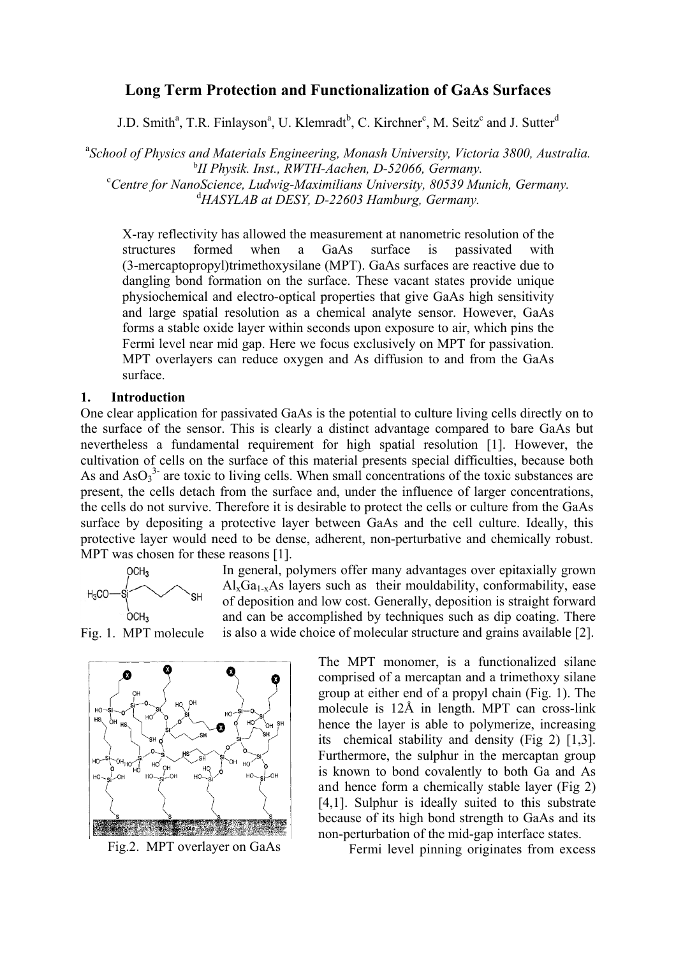# **Long Term Protection and Functionalization of GaAs Surfaces**

J.D. Smith<sup>a</sup>, T.R. Finlayson<sup>a</sup>, U. Klemradt<sup>b</sup>, C. Kirchner<sup>c</sup>, M. Seitz<sup>c</sup> and J. Sutter<sup>d</sup>

<sup>a</sup> School of Physics and Materials Engineering, Monash University, Victoria 3800, Australia. <sup>b</sup>II Physik. Inst., RWTH-Aachen, D-52066, Germany.<br><sup>C</sup>Contre for NanoSeignee, Ludwig Maximilians University, 20520 Mu *Centre for NanoScience, Ludwig-Maximilians University, 80539 Munich, Germany.*  d *HASYLAB at DESY, D-22603 Hamburg, Germany.* 

X-ray reflectivity has allowed the measurement at nanometric resolution of the structures formed when a GaAs surface is passivated with (3-mercaptopropyl)trimethoxysilane (MPT). GaAs surfaces are reactive due to dangling bond formation on the surface. These vacant states provide unique physiochemical and electro-optical properties that give GaAs high sensitivity and large spatial resolution as a chemical analyte sensor. However, GaAs forms a stable oxide layer within seconds upon exposure to air, which pins the Fermi level near mid gap. Here we focus exclusively on MPT for passivation. MPT overlayers can reduce oxygen and As diffusion to and from the GaAs surface.

## **1. Introduction**

One clear application for passivated GaAs is the potential to culture living cells directly on to the surface of the sensor. This is clearly a distinct advantage compared to bare GaAs but nevertheless a fundamental requirement for high spatial resolution [1]. However, the cultivation of cells on the surface of this material presents special difficulties, because both As and  $AsO<sub>3</sub><sup>3</sup>$  are toxic to living cells. When small concentrations of the toxic substances are present, the cells detach from the surface and, under the influence of larger concentrations, the cells do not survive. Therefore it is desirable to protect the cells or culture from the GaAs surface by depositing a protective layer between GaAs and the cell culture. Ideally, this protective layer would need to be dense, adherent, non-perturbative and chemically robust. MPT was chosen for these reasons [1].



In general, polymers offer many advantages over epitaxially grown  $Al_xGa_{1-x}As$  layers such as their mouldability, conformability, ease of deposition and low cost. Generally, deposition is straight forward and can be accomplished by techniques such as dip coating. There is also a wide choice of molecular structure and grains available [2].

Fig. 1. MPT molecule



Fig.2. MPT overlayer on GaAs

The MPT monomer, is a functionalized silane comprised of a mercaptan and a trimethoxy silane group at either end of a propyl chain (Fig. 1). The molecule is 12Å in length. MPT can cross-link hence the layer is able to polymerize, increasing its chemical stability and density (Fig 2) [1,3]. Furthermore, the sulphur in the mercaptan group is known to bond covalently to both Ga and As and hence form a chemically stable layer (Fig 2) [4,1]. Sulphur is ideally suited to this substrate because of its high bond strength to GaAs and its non-perturbation of the mid-gap interface states.

Fermi level pinning originates from excess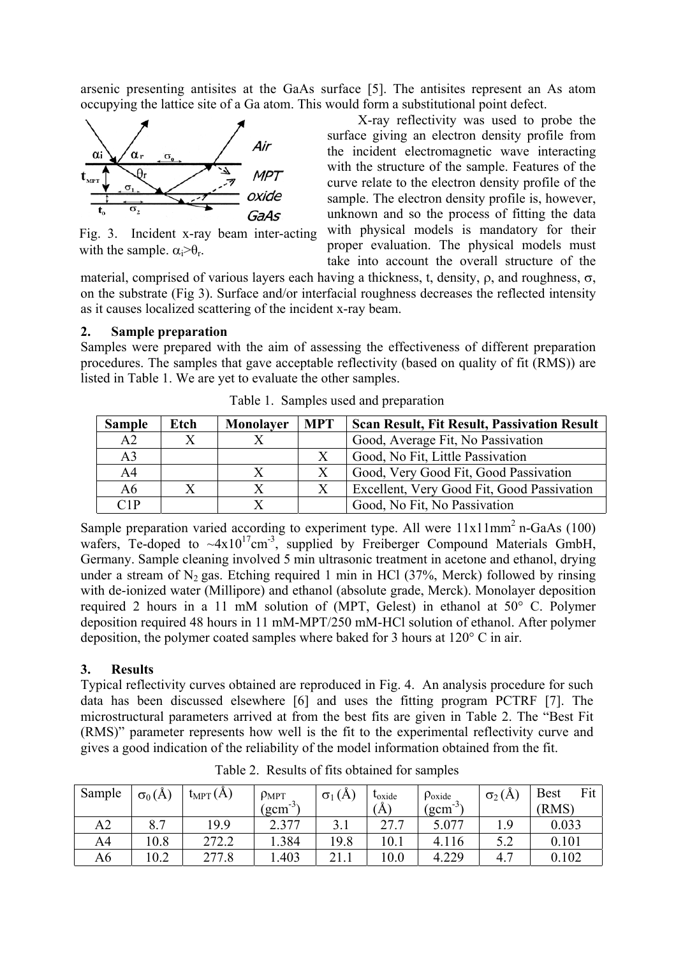arsenic presenting antisites at the GaAs surface [5]. The antisites represent an As atom occupying the lattice site of a Ga atom. This would form a substitutional point defect.



Fig. 3. Incident x-ray beam inter-acting with the sample.  $\alpha_i > \theta_r$ .

X-ray reflectivity was used to probe the surface giving an electron density profile from the incident electromagnetic wave interacting with the structure of the sample. Features of the curve relate to the electron density profile of the sample. The electron density profile is, however, unknown and so the process of fitting the data with physical models is mandatory for their proper evaluation. The physical models must take into account the overall structure of the

material, comprised of various layers each having a thickness, t, density, ρ, and roughness, σ, on the substrate (Fig 3). Surface and/or interfacial roughness decreases the reflected intensity as it causes localized scattering of the incident x-ray beam.

# **2. Sample preparation**

Samples were prepared with the aim of assessing the effectiveness of different preparation procedures. The samples that gave acceptable reflectivity (based on quality of fit (RMS)) are listed in Table 1. We are yet to evaluate the other samples.

| <b>Sample</b>  | Etch         | Monolayer | <b>MPT</b>        | <b>Scan Result, Fit Result, Passivation Result</b> |  |  |
|----------------|--------------|-----------|-------------------|----------------------------------------------------|--|--|
| A2             | $\mathbf{X}$ |           |                   | Good, Average Fit, No Passivation                  |  |  |
| A <sub>3</sub> |              |           | X                 | Good, No Fit, Little Passivation                   |  |  |
| A <sup>4</sup> |              |           | X                 | Good, Very Good Fit, Good Passivation              |  |  |
| A6             |              |           | $X_{\mathcal{I}}$ | Excellent, Very Good Fit, Good Passivation         |  |  |
| C1P            |              | v         |                   | Good, No Fit, No Passivation                       |  |  |

Table 1. Samples used and preparation

Sample preparation varied according to experiment type. All were  $11x11mm<sup>2</sup>$  n-GaAs (100) wafers, Te-doped to  $-4x10^{17}$ cm<sup>-3</sup>, supplied by Freiberger Compound Materials GmbH, Germany. Sample cleaning involved 5 min ultrasonic treatment in acetone and ethanol, drying under a stream of  $N_2$  gas. Etching required 1 min in HCl (37%, Merck) followed by rinsing with de-ionized water (Millipore) and ethanol (absolute grade, Merck). Monolayer deposition required 2 hours in a 11 mM solution of (MPT, Gelest) in ethanol at 50° C. Polymer deposition required 48 hours in 11 mM-MPT/250 mM-HCl solution of ethanol. After polymer deposition, the polymer coated samples where baked for 3 hours at 120° C in air.

# **3. Results**

Typical reflectivity curves obtained are reproduced in Fig. 4. An analysis procedure for such data has been discussed elsewhere [6] and uses the fitting program PCTRF [7]. The microstructural parameters arrived at from the best fits are given in Table 2. The "Best Fit (RMS)" parameter represents how well is the fit to the experimental reflectivity curve and gives a good indication of the reliability of the model information obtained from the fit.

| Sample | $\sigma_0(A)$ | $t_{\text{MPT}}(A)$ | $\rho_{\text{MPT}}$ | (A)<br>$\sigma_1$ | <b>L</b> <sub>oxide</sub> | $\rho_{\text{oxide}}$         | $\sigma_2(A)$ | Fit<br><b>Best</b> |
|--------|---------------|---------------------|---------------------|-------------------|---------------------------|-------------------------------|---------------|--------------------|
|        |               |                     | د-<br>gcm           |                   | $(\hbox{\AA})$            | $\left( \text{gcm}^3 \right)$ |               | (RMS)              |
| A2     | 8.7           | 19.9                | 2.377               |                   | 27                        | 5.077                         | ΙQ            | 0.033              |
| A4     | 0.8           | 272.2               | .384                | 19.8              | 10.1                      | 4.116                         | 5.2           | 0.101              |
| А6     | 0.2           | 277.8               | .403                |                   | 10.0                      | 4.229                         | 4.7           | 0.102              |

Table 2. Results of fits obtained for samples